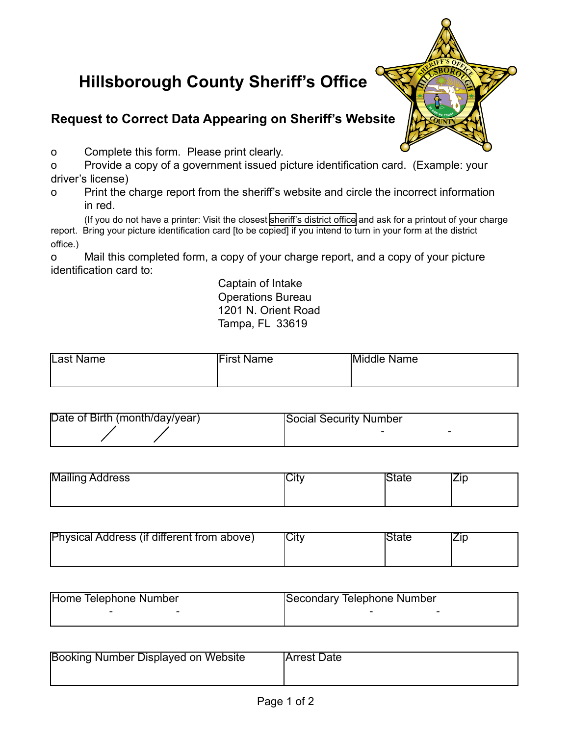## **Hillsborough County Sheriff's Office**

## **Request to Correct Data Appearing on Sheriff's Website**

o Complete this form. Please print clearly.

o Provide a copy of a government issued picture identification card. (Example: your driver's license)

 $\frac{1}{2}$ **NERTIFF'S**  $\frac{1}{2}$ 

 $\overline{\text{COUNTY}}$ 

o Print the charge report from the sheriff's website and circle the incorrect information in red.

(If you do not have a printer: Visit the closest [sheriff's district office](www.hcso.tampa.fl.us/executive/address.htm) and ask for a printout of your charge report. Bring your picture identification card [to be copied] if you intend to turn in your form at the district office.)

o Mail this completed form, a copy of your charge report, and a copy of your picture identification card to:

> Captain of Intake Operations Bureau 1201 N. Orient Road Tampa, FL 33619

| Last Name<br><b>First Name</b><br>Middle Name |  |
|-----------------------------------------------|--|
|-----------------------------------------------|--|

| Date of Birth (month/day/year) | Social Security Number |
|--------------------------------|------------------------|
|                                |                        |

| <b>Mailing Address</b> | ٦Ŧ٠<br>اں | یا ہے ا |
|------------------------|-----------|---------|
|                        |           |         |

| <b>Physical Address (if different from above)</b> | <b>ICity</b> | State |  |
|---------------------------------------------------|--------------|-------|--|
|                                                   |              |       |  |

| Home Telephone Number | Secondary Telephone Number |
|-----------------------|----------------------------|
| -                     |                            |

| Booking Number Displayed on Website | <b>Arrest Date</b> |
|-------------------------------------|--------------------|
|                                     |                    |